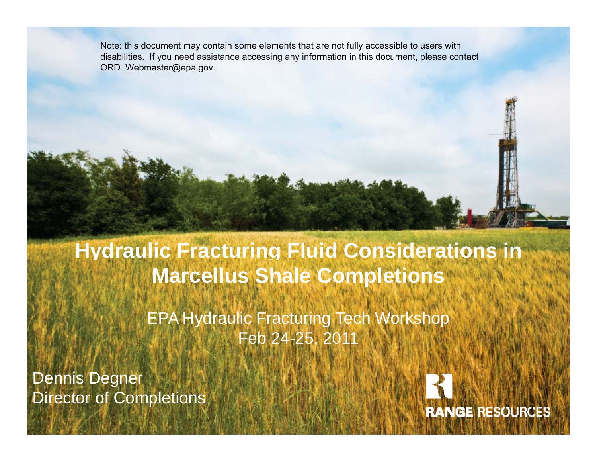Note: this document may contain some elements that are not fully accessible to users with disabilities. If you need assistance accessing any information in this document, please contact ORD\_Webmaster@epa.gov.

#### **y g Hydraulic Fracturing Fluid Considerations in Marcellus Shale Completions**

EPA Hydraulic Fracturing Tech Workshop Tech Feb 24-25, 2011

Dennis Degner Director of Completions

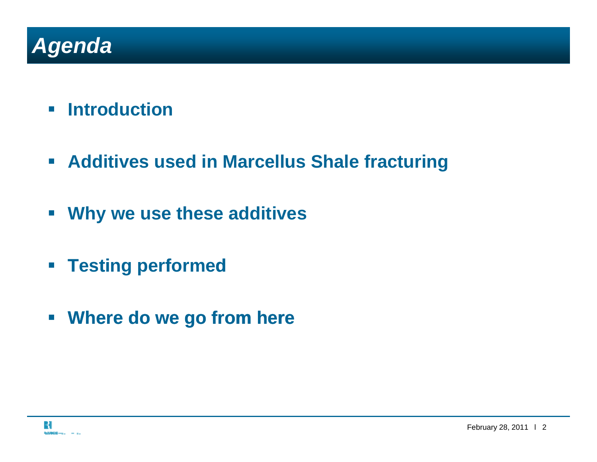## *Agenda*

- **Introduction**
- **Additives used in Marcellus Shale fracturing**
- **Why we use these additives**
- **P Testing performed**
- **Where do we go from here**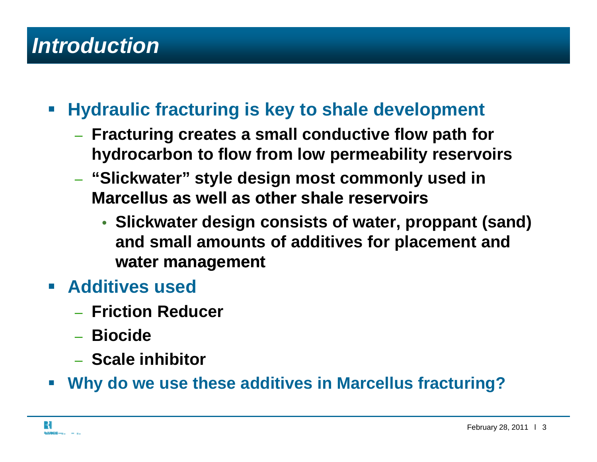## *Introduction*

- $\overline{\mathcal{L}^{\mathcal{A}}}$  **Hydraulic fracturing is key to shale development** 
	- **Fracturing creates a small conductive flow path for hydrocarbon to flow from low permeability reservoirs**
	- **"Slickwater" style design most commonly used in Marcellus as well as other shale reservoirs reservoirs** 
		- **Slickwater design consists of water, proppant (sand) and small amounts of additives for placement and water management management**
- **Additives used** 
	- **Friction Reducer**
	- **Biocide**
	- **Scale inhibitor**
- p. **Why do we use these additives in Marcellus fracturing?**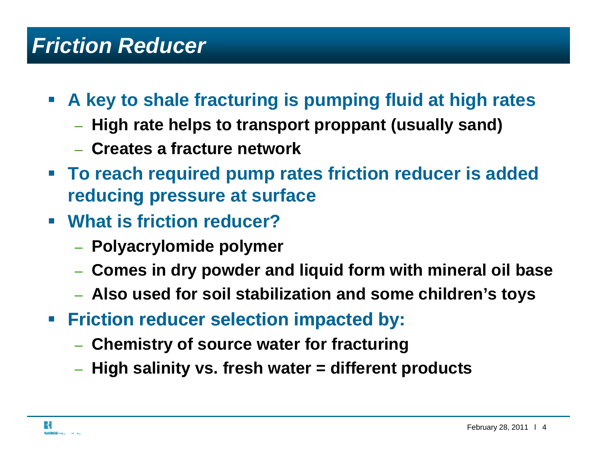#### *Friction Reducer*

- **A key to shale fracturing is pumping fluid at high rates** 
	- **High rate helps to transport proppant (usually sand)**
	- –**Creates a fracture network**
- **educ essu e at su ace reducing pr essure at surfaceTo reach required pump rates friction reducer is added**
- **What is friction reducer?** 
	- **Polyacrylomide polymer**
	- **Comes in dry powder and liquid form with mineral oil base**
	- **Also used for soil stabilization and some children's toys**
- $\mathcal{L}_{\mathcal{A}}$  **Friction reducer selection impacted by:** 
	- **Chemistry of source water for fracturing**
	- **High salinity vs. fresh water = different products**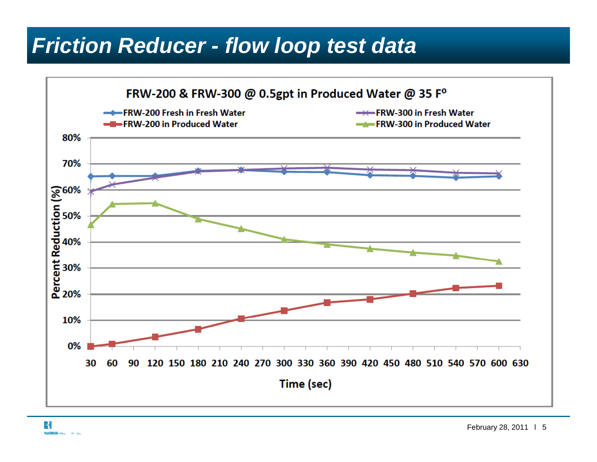#### *Friction Reducer - flow loop test data*



R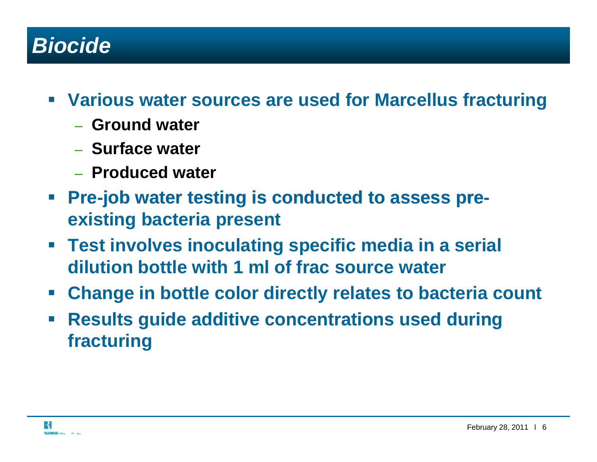#### *Biocide*

- **Various water sources are used for Marcellus fracturing**
	- **Ground water**
	- **Sf t ur ace water**
	- **Produced water**
- $\mathcal{L}_{\mathcal{A}}$  **Pre-job water testing is conducted to assess pre job assess preexisting bacteria present**
- **Test involves inoculating specific media in a serial dilution bottle with 1 ml of frac source water**
- **Change in bottle color directly relates to bacteria count**
- $\mathcal{L}_{\mathcal{A}}$  **Results guide additive concentrations used during guide used fracturing**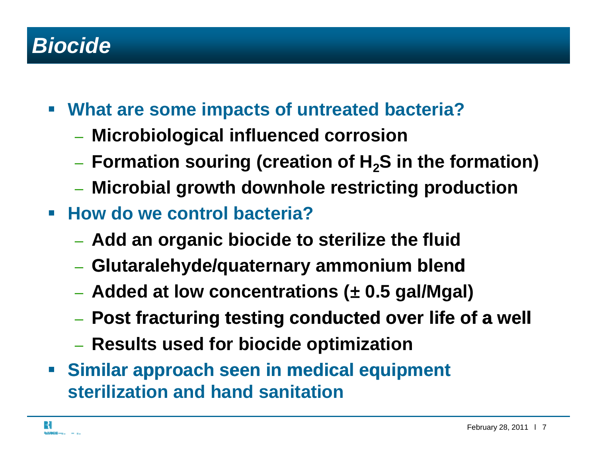#### *Biocide*

- **What are some impacts of untreated bacteria?** 
	- **Microbiological influenced corrosion**
	- $-$  Formation souring (creation of H<sub>2</sub>S in the formation)
	- **Microbial growth downhole restricting production**
- **How do we control bacteria?** 
	- **Add an organic biocide to sterilize the fluid**
	- Glutaralehvde/quat **Gl utaralehyde/ quaternary ammonium bl end**
	- **Added at low concentrations (**<sup>±</sup> **0.5 gal/Mgal)**
	- **Post fracturing testing conducted over life of a well**
	- **Results used for biocide optimization**
- $\mathcal{L}_{\mathcal{A}}$  **Similar approach seen in medical equipment approach equipment sterilization and hand sanitation**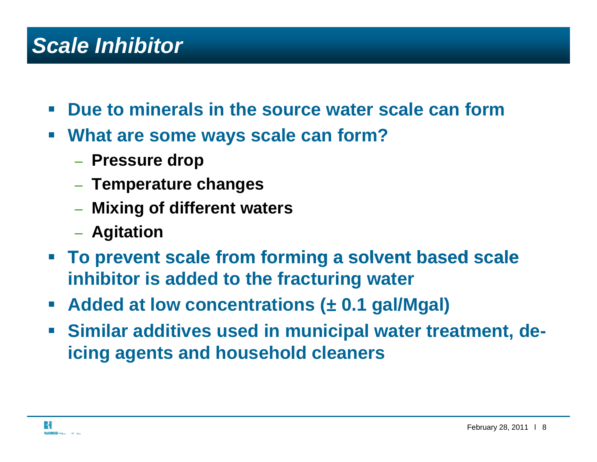### *Scale Inhibitor*

- $\mathcal{L}^{\text{max}}$ **Due to minerals in the source water scale can form**
- $\mathcal{L}_{\mathcal{A}}$  **What are some ways scale can form?**
	- **Pressure drop**
	- **Temperature changes**
	- **Mixing of ff di erent waters**
	- **Agitation**
- **To prevent scale from forming <sup>a</sup> solvent based scale forming a inhibitor is added to the fracturing water**
- **Added at low concentrations (**<sup>±</sup> **0.1 gal/Mgal)**
- **Similar additives used in municipal water treatment, deicing agents and household cleaners**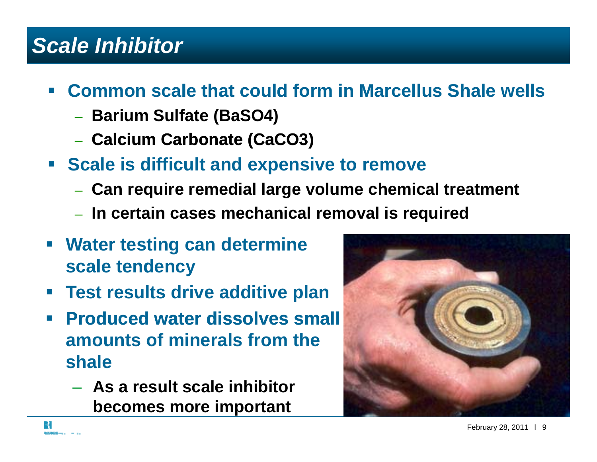#### *Scale Inhibitor*

#### **<u><b>** $\blacksquare$  **Common scale that could form in Marcellus Shale wells**</u>

- **Barium Sulfate (BaSO4)**
- **Calcium Carbonate (CaCO3) (CaCO3)**
- **Scale is difficult and expensive to remove** 
	- **Can require remedial large volume chemical treatment**
	- **In certain cases mechanical removal is required**
- **Water testing can determine scale tendency**
- $\mathbb{R}^n$ **Test results drive additive plan**
- $\mathcal{L}^{\text{max}}$  **Produced water dissolves small amounts of minerals from the shale**
	- **As a result scale inhibitor becomes more important**

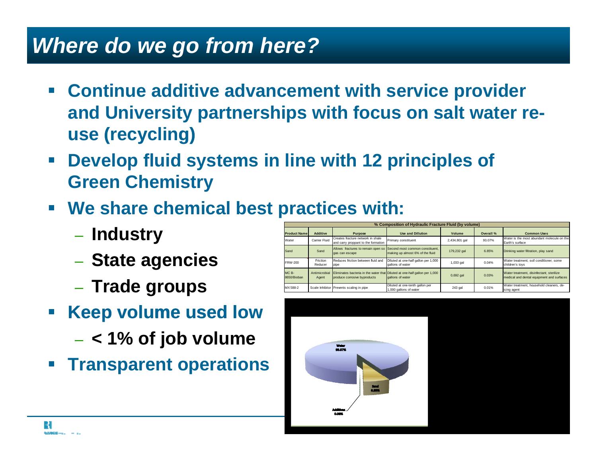#### *Where do we go from here?*

- **E** Continue additive advancement with service provider **and University partnerships with focus on salt water reuse ( y g) rec ycling)**
- $\mathcal{L}_{\mathcal{A}}$  **Develop fluid systems in line with 12 principles of Green Chemistry**
- $\blacksquare$  We share chemical best practices with:
	- **Industry**
	- **State agencies** – vlat
	- **Trade groups**
- **Reep volume used low** 
	- **< 1% of job volume**
- **Example 2 Transparent operations**

| % Composition of Hydraulic Fracture Fluid (by volume) |                        |                                                                                                            |                                                                     |               |           |                                                                                       |
|-------------------------------------------------------|------------------------|------------------------------------------------------------------------------------------------------------|---------------------------------------------------------------------|---------------|-----------|---------------------------------------------------------------------------------------|
| <b>Product Name</b>                                   | Additive               | Purpose                                                                                                    | <b>Use and Dillution</b>                                            | Volume        | Overall % | <b>Common Uses</b>                                                                    |
| Water                                                 | Carrier Fluid          | Creates fracture network in shale<br>and carry proppant to the formation                                   | Primary constituent                                                 | 2,434,801 gal | 93.07%    | Water is the most abundant molecule on the<br>Earth's surface                         |
| Sand                                                  | Sand                   | Allows fractures to remain open so<br>gas can escape                                                       | Second most common constituent.<br>making up almost 6% of the fluid | 179,232 gal   | 6.85%     | Drinking water filtration, play sand                                                  |
| <b>FRW-200</b>                                        | Friction<br>Reducer    | Reduces friction between fluid and<br>pipe                                                                 | Diluted at one-half gallon per 1,000<br>gallons of water            | 1,033 gal     | 0.04%     | Water treatment: soil conditioner: some<br>children's toys                            |
| MC B-<br>8650/Bioban                                  | Antimicrobial<br>Agent | Eliminates bacteria in the water that Diluted at one-half gallon per 1,000<br>produce corrosive byproducts | gallons of water                                                    | $0,692$ gal   | 0.03%     | Water treatment, disinfectant: sterilize<br>medical and dental equipment and surfaces |
| MX 588-2                                              |                        | Scale Inhibitor Prevents scaling in pipe                                                                   | Diluted at one-tenth gallon per<br>1,000 gallons of water           | 243 gal       | 0.01%     | Water treatment, household cleaners, de-<br>icing agent                               |

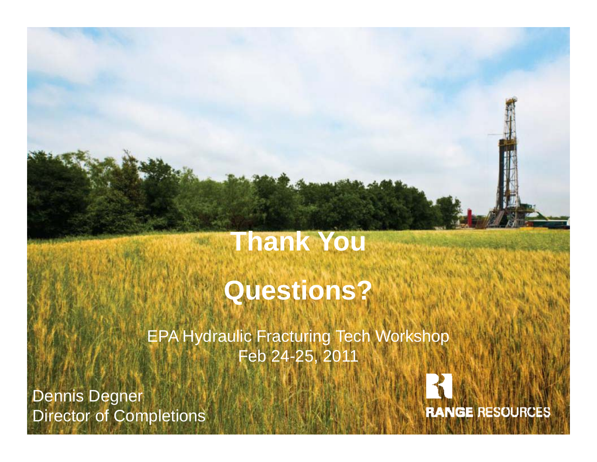# **Thank You**

# **Questions?**

EPA Hydraulic Fracturing Tech Workshop Feb 24-25, 2011

Dennis Degner Director of Completions



SSYLWARING / HURRISON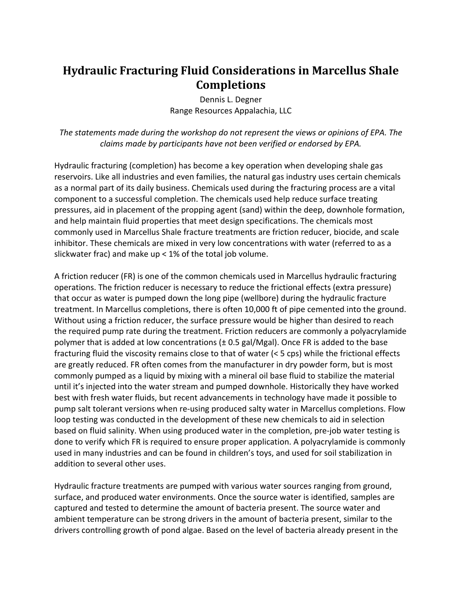#### **Hydraulic Fracturing Fluid Considerations in Marcellus Shale Completions**

Dennis L. Degner Range Resources Appalachia, LLC

*The statements made during the workshop do not represent the views or opinions of EPA. The claims made by participants have not been verified or endorsed by EPA.*

Hydraulic fracturing (completion) has become a key operation when developing shale gas reservoirs. Like all industries and even families, the natural gas industry uses certain chemicals as a normal part of its daily business. Chemicals used during the fracturing process are a vital component to a successful completion. The chemicals used help reduce surface treating pressures, aid in placement of the propping agent (sand) within the deep, downhole formation, and help maintain fluid properties that meet design specifications. The chemicals most commonly used in Marcellus Shale fracture treatments are friction reducer, biocide, and scale inhibitor. These chemicals are mixed in very low concentrations with water (referred to as a slickwater frac) and make up < 1% of the total job volume.

A friction reducer (FR) is one of the common chemicals used in Marcellus hydraulic fracturing operations. The friction reducer is necessary to reduce the frictional effects (extra pressure) that occur as water is pumped down the long pipe (wellbore) during the hydraulic fracture treatment. In Marcellus completions, there is often 10,000 ft of pipe cemented into the ground. Without using a friction reducer, the surface pressure would be higher than desired to reach the required pump rate during the treatment. Friction reducers are commonly a polyacrylamide polymer that is added at low concentrations (± 0.5 gal/Mgal). Once FR is added to the base fracturing fluid the viscosity remains close to that of water (< 5 cps) while the frictional effects are greatly reduced. FR often comes from the manufacturer in dry powder form, but is most commonly pumped as a liquid by mixing with a mineral oil base fluid to stabilize the material until it's injected into the water stream and pumped downhole. Historically they have worked best with fresh water fluids, but recent advancements in technology have made it possible to pump salt tolerant versions when re‐using produced salty water in Marcellus completions. Flow loop testing was conducted in the development of these new chemicals to aid in selection based on fluid salinity. When using produced water in the completion, pre‐job water testing is done to verify which FR is required to ensure proper application. A polyacrylamide is commonly used in many industries and can be found in children's toys, and used for soil stabilization in addition to several other uses.

Hydraulic fracture treatments are pumped with various water sources ranging from ground, surface, and produced water environments. Once the source water is identified, samples are captured and tested to determine the amount of bacteria present. The source water and ambient temperature can be strong drivers in the amount of bacteria present, similar to the drivers controlling growth of pond algae. Based on the level of bacteria already present in the